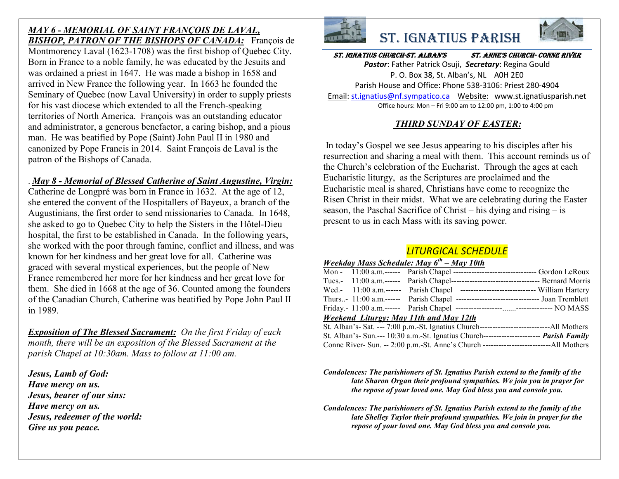## *MAY 6 - MEMORIAL OF SAINT FRANÇOIS DE LAVAL, BISHOP, PATRON OF THE BISHOPS OF CANADA:* François de Montmorency Laval (1623-1708) was the first bishop of Quebec City. Born in France to a noble family, he was educated by the Jesuits and was ordained a priest in 1647. He was made a bishop in 1658 and arrived in New France the following year. In 1663 he founded the Seminary of Quebec (now Laval University) in order to supply priests for his vast diocese which extended to all the French-speaking territories of North America. François was an outstanding educator and administrator, a generous benefactor, a caring bishop, and a pious man. He was beatified by Pope (Saint) John Paul II in 1980 and canonized by Pope Francis in 2014. Saint François de Laval is the patron of the Bishops of Canada.

## . *May 8 - Memorial of Blessed Catherine of Saint Augustine, Virgin:*

Catherine de Longpré was born in France in 1632. At the age of 12, she entered the convent of the Hospitallers of Bayeux, a branch of the Augustinians, the first order to send missionaries to Canada. In 1648, she asked to go to Quebec City to help the Sisters in the Hôtel-Dieu hospital, the first to be established in Canada. In the following years, she worked with the poor through famine, conflict and illness, and was known for her kindness and her great love for all. Catherine was graced with several mystical experiences, but the people of New France remembered her more for her kindness and her great love for them. She died in 1668 at the age of 36. Counted among the founders of the Canadian Church, Catherine was beatified by Pope John Paul II in 1989.

*Exposition of The Blessed Sacrament: On the first Friday of each month, there will be an exposition of the Blessed Sacrament at the parish Chapel at 10:30am. Mass to follow at 11:00 am.*

*Jesus, Lamb of God: Have mercy on us. Jesus, bearer of our sins: Have mercy on us. Jesus, redeemer of the world: Give us you peace.*





### St. IgnatIuS ChurCh-St. alban'S St. anne'S ChurCh- Conne rIver

*Pastor*: Father Patrick Osuji, *Secretary*: Regina Gould P. O. Box 38, St. Alban's, NL A0H 2E0 Parish House and Office: Phone 538-3106: Priest 280-4904 Email: st.ignatius@nf.sympatico.ca Website: www.st.ignatiusparish.net Office hours: Mon – Fri 9:00 am to 12:00 pm, 1:00 to 4:00 pm

# *THIRD SUNDAY OF EASTER:*

In today's Gospel we see Jesus appearing to his disciples after his resurrection and sharing a meal with them. This account reminds us of the Church's celebration of the Eucharist. Through the ages at each Eucharistic liturgy, as the Scriptures are proclaimed and the Eucharistic meal is shared, Christians have come to recognize the Risen Christ in their midst. What we are celebrating during the Easter season, the Paschal Sacrifice of Christ – his dying and rising – is present to us in each Mass with its saving power.

# *LITURGICAL SCHEDULE*

# *Weekday Mass Schedule: May 6th – May 10th*

|                                        |  |  | Mon - 11:00 a.m. ------ Parish Chapel ----------------------------------- Gordon LeRoux  |  |  |  |  |  |
|----------------------------------------|--|--|------------------------------------------------------------------------------------------|--|--|--|--|--|
|                                        |  |  |                                                                                          |  |  |  |  |  |
|                                        |  |  | Wed.- 11:00 a.m.------ Parish Chapel ------------------------------- William Hartery     |  |  |  |  |  |
|                                        |  |  | Thurs- 11:00 a.m.------ Parish Chapel ----------------------------------- Joan Tremblett |  |  |  |  |  |
|                                        |  |  |                                                                                          |  |  |  |  |  |
| Weekend Liturgy: May 11th and May 12th |  |  |                                                                                          |  |  |  |  |  |
|                                        |  |  |                                                                                          |  |  |  |  |  |
|                                        |  |  | St. Alban's- Sun.--- 10:30 a.m.-St. Ignatius Church---------------------- Parish Family  |  |  |  |  |  |

Conne River- Sun. -- 2:00 p.m.-St. Anne's Church --------------------------All Mothers

*Condolences: The parishioners of St. Ignatius Parish extend to the family of the late Sharon Organ their profound sympathies. We join you in prayer for the repose of your loved one. May God bless you and console you.*

*Condolences: The parishioners of St. Ignatius Parish extend to the family of the late Shelley Taylor their profound sympathies. We join in prayer for the repose of your loved one. May God bless you and console you.*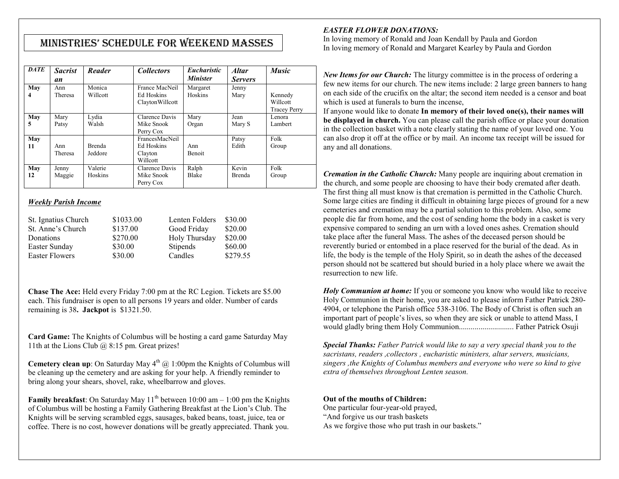# MInIStrIeS' Schedule for Weekend MaSSeS

| <b>DATE</b> | <b>Sacrist</b><br>an | Reader                   | <b>Collectors</b>                                   | <i>Eucharistic</i><br><b>Minister</b> | <b>Altar</b><br><b>Servers</b> | <b>Music</b>                               |
|-------------|----------------------|--------------------------|-----------------------------------------------------|---------------------------------------|--------------------------------|--------------------------------------------|
| May<br>4    | Ann<br>Theresa       | Monica<br>Willcott       | France MacNeil<br>Ed Hoskins<br>ClaytonWillcott     | Margaret<br><b>Hoskins</b>            | Jenny<br>Mary                  | Kennedy<br>Willcott<br><b>Tracey Perry</b> |
| May<br>5    | Mary<br>Patsy        | Lydia<br>Walsh           | Clarence Davis<br>Mike Snook<br>Perry Cox           | Mary<br>Organ                         | Jean<br>Mary S                 | Lenora<br>Lambert                          |
| May<br>11   | Ann<br>Theresa       | <b>Brenda</b><br>Jeddore | FrancesMacNeil<br>Ed Hoskins<br>Clayton<br>Willcott | Ann<br><b>Benoit</b>                  | Patsy<br>Edith                 | Folk<br>Group                              |
| May<br>12   | Jenny<br>Maggie      | Valerie<br>Hoskins       | Clarence Davis<br>Mike Snook<br>Perry Cox           | Ralph<br>Blake                        | Kevin<br><b>Brenda</b>         | Folk<br>Group                              |

### *Weekly Parish Income*

| St. Ignatius Church   | \$1033.00 | Lenten Folders | \$30.00  |
|-----------------------|-----------|----------------|----------|
| St. Anne's Church     | \$137.00  | Good Friday    | \$20.00  |
| Donations             | \$270.00  | Holy Thursday  | \$20.00  |
| Easter Sunday         | \$30.00   | Stipends       | \$60.00  |
| <b>Easter Flowers</b> | \$30.00   | Candles        | \$279.55 |

**Chase The Ace:** Held every Friday 7:00 pm at the RC Legion. Tickets are \$5.00 each. This fundraiser is open to all persons 19 years and older. Number of cards remaining is 38**. Jackpot** is \$1321.50.

**Card Game:** The Knights of Columbus will be hosting a card game Saturday May 11th at the Lions Club  $\omega$  8:15 pm. Great prizes!

**Cemetery clean up**: On Saturday May  $4<sup>th</sup>$  ( $\hat{\omega}$ ) 1:00pm the Knights of Columbus will be cleaning up the cemetery and are asking for your help. A friendly reminder to bring along your shears, shovel, rake, wheelbarrow and gloves.

**Family breakfast:** On Saturday May  $11<sup>th</sup>$  between 10:00 am – 1:00 pm the Knights of Columbus will be hosting a Family Gathering Breakfast at the Lion's Club. The Knights will be serving scrambled eggs, sausages, baked beans, toast, juice, tea or coffee. There is no cost, however donations will be greatly appreciated. Thank you.

#### *EASTER FLOWER DONATIONS:*

In loving memory of Ronald and Joan Kendall by Paula and Gordon In loving memory of Ronald and Margaret Kearley by Paula and Gordon

*New Items for our Church:* The liturgy committee is in the process of ordering a few new items for our church. The new items include: 2 large green banners to hang on each side of the crucifix on the altar; the second item needed is a censor and boat which is used at funerals to burn the incense,

If anyone would like to donate **In memory of their loved one(s), their names will be displayed in church.** You can please call the parish office or place your donation in the collection basket with a note clearly stating the name of your loved one. You can also drop it off at the office or by mail. An income tax receipt will be issued for any and all donations.

*Cremation in the Catholic Church:* Many people are inquiring about cremation in the church, and some people are choosing to have their body cremated after death. The first thing all must know is that cremation is permitted in the Catholic Church. Some large cities are finding it difficult in obtaining large pieces of ground for a new cemeteries and cremation may be a partial solution to this problem. Also, some people die far from home, and the cost of sending home the body in a casket is very expensive compared to sending an urn with a loved ones ashes. Cremation should take place after the funeral Mass. The ashes of the deceased person should be reverently buried or entombed in a place reserved for the burial of the dead. As in life, the body is the temple of the Holy Spirit, so in death the ashes of the deceased person should not be scattered but should buried in a holy place where we await the resurrection to new life.

*Holy Communion at home:* If you or someone you know who would like to receive Holy Communion in their home, you are asked to please inform Father Patrick 280- 4904, or telephone the Parish office 538-3106. The Body of Christ is often such an important part of people's lives, so when they are sick or unable to attend Mass, I would gladly bring them Holy Communion............................ Father Patrick Osuji

*Special Thanks: Father Patrick would like to say a very special thank you to the sacristans, readers ,collectors , eucharistic ministers, altar servers, musicians, singers ,the Knights of Columbus members and everyone who were so kind to give extra of themselves throughout Lenten season.* 

#### **Out of the mouths of Children:**

One particular four-year-old prayed, "And forgive us our trash baskets As we forgive those who put trash in our baskets."